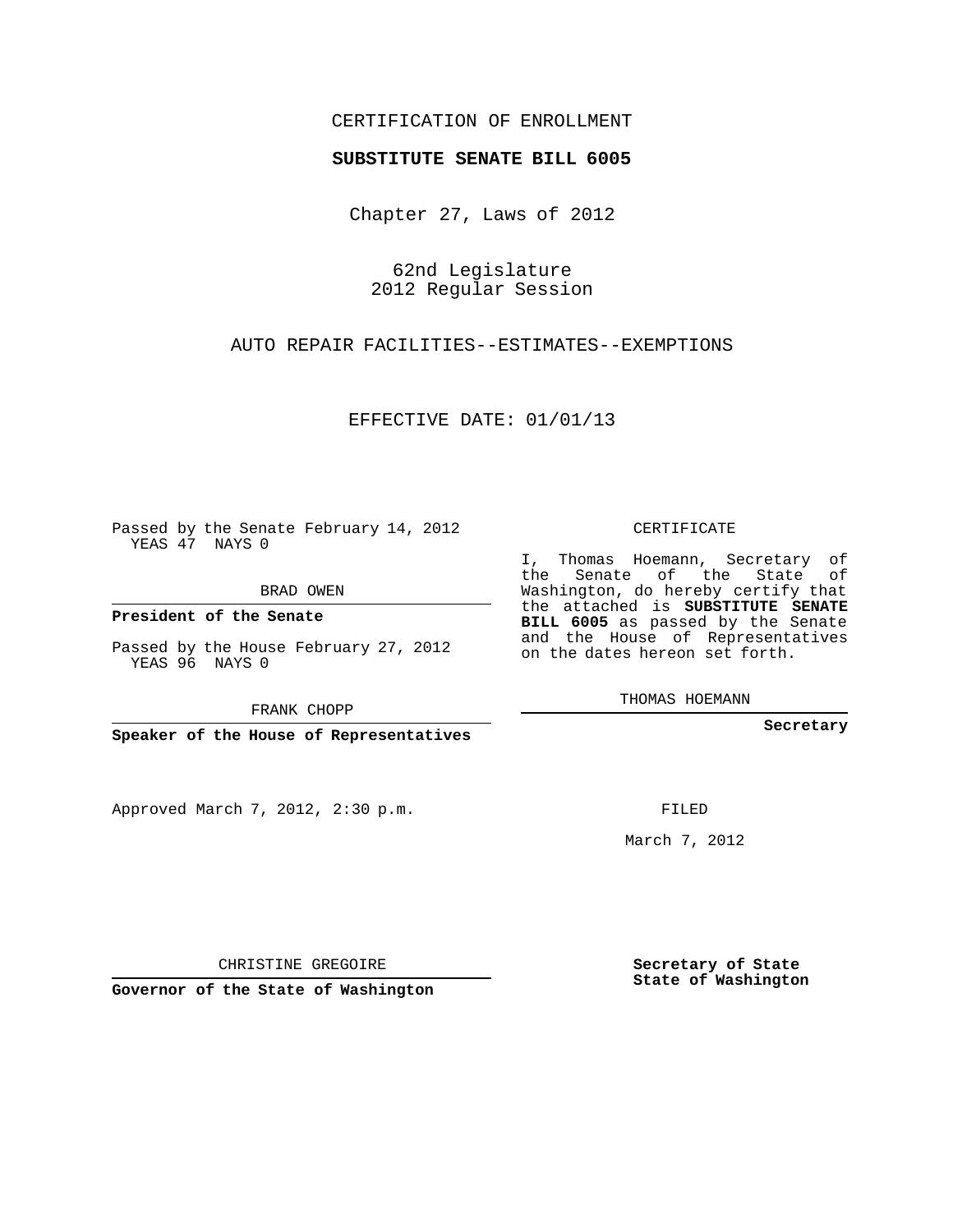## CERTIFICATION OF ENROLLMENT

## **SUBSTITUTE SENATE BILL 6005**

Chapter 27, Laws of 2012

62nd Legislature 2012 Regular Session

AUTO REPAIR FACILITIES--ESTIMATES--EXEMPTIONS

EFFECTIVE DATE: 01/01/13

Passed by the Senate February 14, 2012 YEAS 47 NAYS 0

BRAD OWEN

**President of the Senate**

Passed by the House February 27, 2012 YEAS 96 NAYS 0

FRANK CHOPP

**Speaker of the House of Representatives**

Approved March 7, 2012, 2:30 p.m.

CERTIFICATE

I, Thomas Hoemann, Secretary of the Senate of the State of Washington, do hereby certify that the attached is **SUBSTITUTE SENATE BILL 6005** as passed by the Senate and the House of Representatives on the dates hereon set forth.

THOMAS HOEMANN

**Secretary**

FILED

March 7, 2012

**Secretary of State State of Washington**

CHRISTINE GREGOIRE

**Governor of the State of Washington**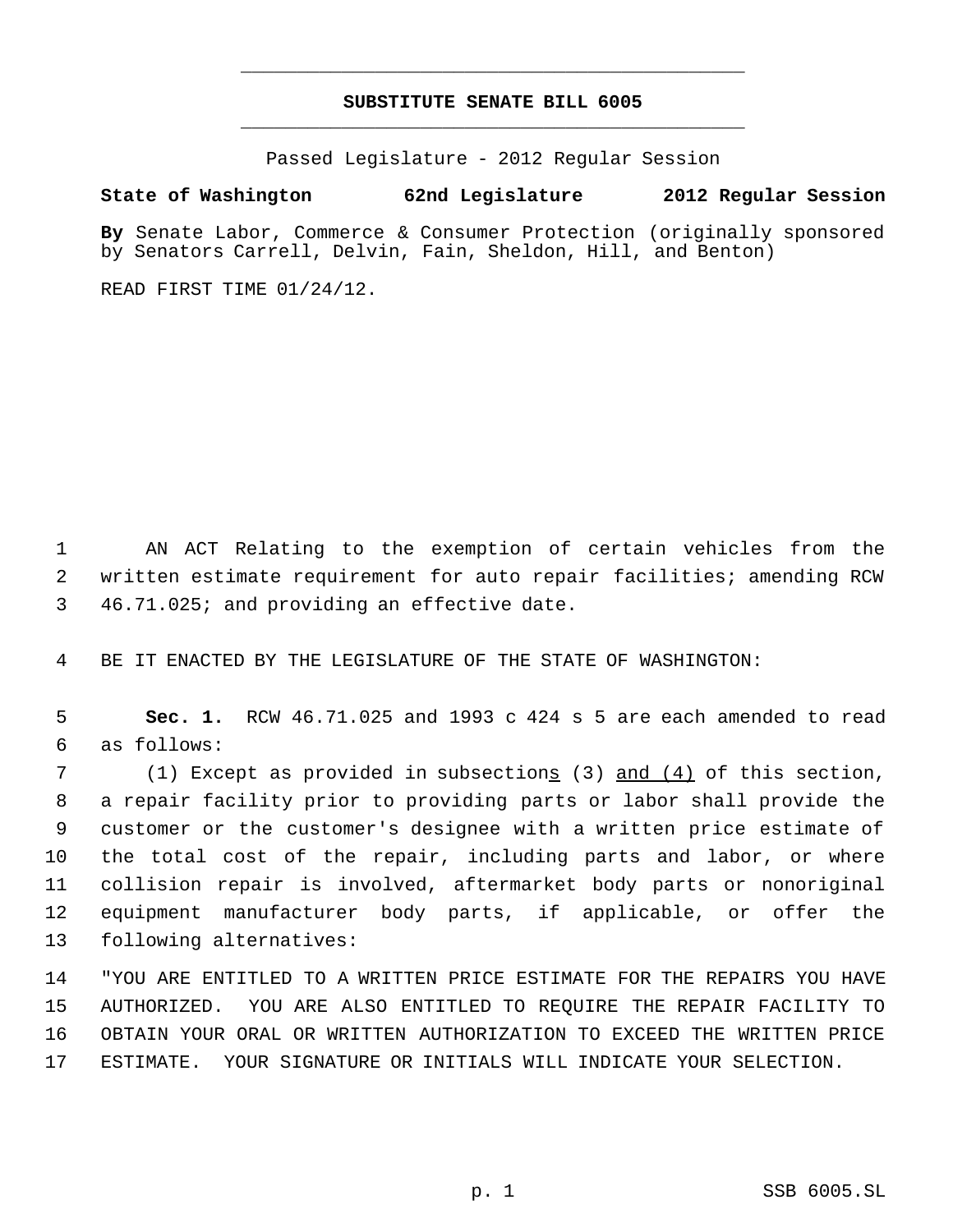## **SUBSTITUTE SENATE BILL 6005** \_\_\_\_\_\_\_\_\_\_\_\_\_\_\_\_\_\_\_\_\_\_\_\_\_\_\_\_\_\_\_\_\_\_\_\_\_\_\_\_\_\_\_\_\_

\_\_\_\_\_\_\_\_\_\_\_\_\_\_\_\_\_\_\_\_\_\_\_\_\_\_\_\_\_\_\_\_\_\_\_\_\_\_\_\_\_\_\_\_\_

Passed Legislature - 2012 Regular Session

## **State of Washington 62nd Legislature 2012 Regular Session**

**By** Senate Labor, Commerce & Consumer Protection (originally sponsored by Senators Carrell, Delvin, Fain, Sheldon, Hill, and Benton)

READ FIRST TIME 01/24/12.

 AN ACT Relating to the exemption of certain vehicles from the written estimate requirement for auto repair facilities; amending RCW 46.71.025; and providing an effective date.

BE IT ENACTED BY THE LEGISLATURE OF THE STATE OF WASHINGTON:

 **Sec. 1.** RCW 46.71.025 and 1993 c 424 s 5 are each amended to read as follows:

7 (1) Except as provided in subsections (3) and (4) of this section, a repair facility prior to providing parts or labor shall provide the customer or the customer's designee with a written price estimate of the total cost of the repair, including parts and labor, or where collision repair is involved, aftermarket body parts or nonoriginal equipment manufacturer body parts, if applicable, or offer the following alternatives:

 "YOU ARE ENTITLED TO A WRITTEN PRICE ESTIMATE FOR THE REPAIRS YOU HAVE AUTHORIZED. YOU ARE ALSO ENTITLED TO REQUIRE THE REPAIR FACILITY TO OBTAIN YOUR ORAL OR WRITTEN AUTHORIZATION TO EXCEED THE WRITTEN PRICE ESTIMATE. YOUR SIGNATURE OR INITIALS WILL INDICATE YOUR SELECTION.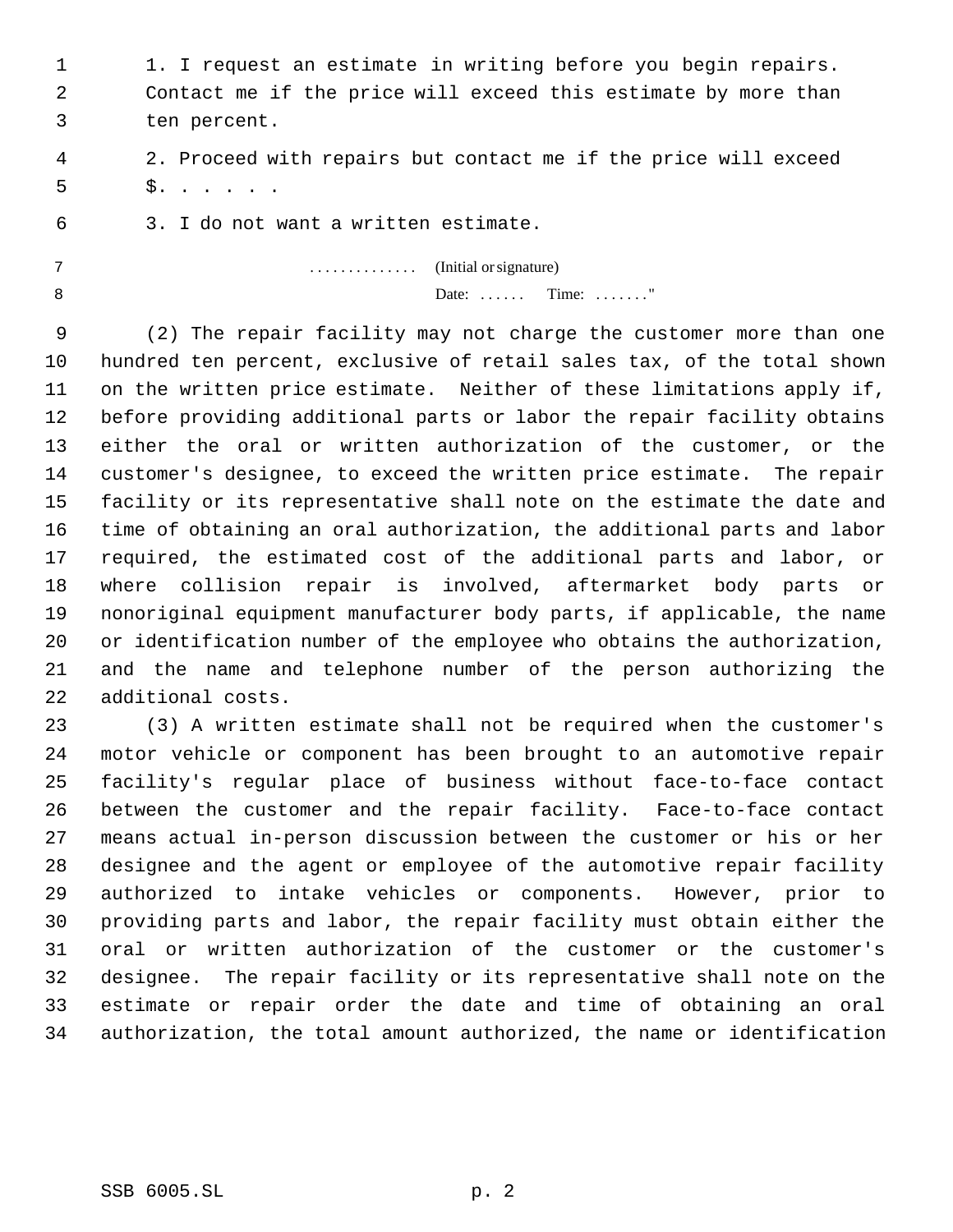1 1. I request an estimate in writing before you begin repairs. Contact me if the price will exceed this estimate by more than ten percent. 2. Proceed with repairs but contact me if the price will exceed \$. . . . . . 3. I do not want a written estimate.

|  | (Initial or signature) |                             |  |
|--|------------------------|-----------------------------|--|
|  |                        | Date: $\dots$ Time: $\dots$ |  |

 (2) The repair facility may not charge the customer more than one hundred ten percent, exclusive of retail sales tax, of the total shown on the written price estimate. Neither of these limitations apply if, before providing additional parts or labor the repair facility obtains either the oral or written authorization of the customer, or the customer's designee, to exceed the written price estimate. The repair facility or its representative shall note on the estimate the date and time of obtaining an oral authorization, the additional parts and labor required, the estimated cost of the additional parts and labor, or where collision repair is involved, aftermarket body parts or nonoriginal equipment manufacturer body parts, if applicable, the name or identification number of the employee who obtains the authorization, and the name and telephone number of the person authorizing the additional costs.

 (3) A written estimate shall not be required when the customer's motor vehicle or component has been brought to an automotive repair facility's regular place of business without face-to-face contact between the customer and the repair facility. Face-to-face contact means actual in-person discussion between the customer or his or her designee and the agent or employee of the automotive repair facility authorized to intake vehicles or components. However, prior to providing parts and labor, the repair facility must obtain either the oral or written authorization of the customer or the customer's designee. The repair facility or its representative shall note on the estimate or repair order the date and time of obtaining an oral authorization, the total amount authorized, the name or identification